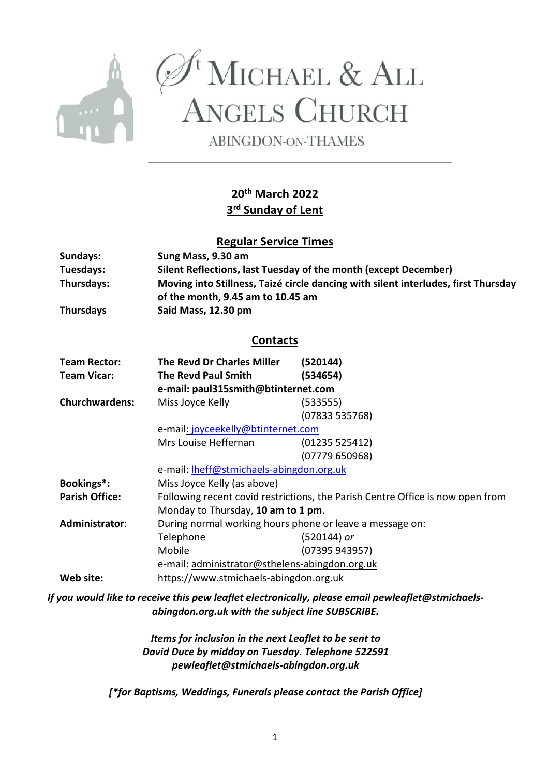

 $\begin{array}{c}\mathscr{A}^{\mathrm{t}}{\rm{MicHAEL}}\ \&\ {\rm{ALL}}\\ {\rm{A}NGELS}\ {\rm{CHURCH}}\end{array}$ 

**ABINGDON-ON-THAMES** 

# **20th March 2022 3rd Sunday of Lent**

# **Regular Service Times**

| Sundays:              | Sung Mass, 9.30 am                                                                                                      |                |  |  |  |
|-----------------------|-------------------------------------------------------------------------------------------------------------------------|----------------|--|--|--|
| Tuesdays:             | Silent Reflections, last Tuesday of the month (except December)                                                         |                |  |  |  |
| Thursdays:            | Moving into Stillness, Taizé circle dancing with silent interludes, first Thursday<br>of the month, 9.45 am to 10.45 am |                |  |  |  |
| <b>Thursdays</b>      | Said Mass, 12.30 pm                                                                                                     |                |  |  |  |
| <b>Contacts</b>       |                                                                                                                         |                |  |  |  |
| <b>Team Rector:</b>   | The Revd Dr Charles Miller                                                                                              | (520144)       |  |  |  |
| <b>Team Vicar:</b>    | <b>The Revd Paul Smith</b>                                                                                              | (534654)       |  |  |  |
|                       | e-mail: paul315smith@btinternet.com                                                                                     |                |  |  |  |
| <b>Churchwardens:</b> | Miss Joyce Kelly                                                                                                        | (533555)       |  |  |  |
|                       |                                                                                                                         | (07833535768)  |  |  |  |
|                       | e-mail: joyceekelly@btinternet.com                                                                                      |                |  |  |  |
|                       | Mrs Louise Heffernan                                                                                                    | (01235525412)  |  |  |  |
|                       |                                                                                                                         | (07779650968)  |  |  |  |
|                       | e-mail: lheff@stmichaels-abingdon.org.uk                                                                                |                |  |  |  |
| Bookings*:            | Miss Joyce Kelly (as above)                                                                                             |                |  |  |  |
| <b>Parish Office:</b> | Following recent covid restrictions, the Parish Centre Office is now open from                                          |                |  |  |  |
|                       | Monday to Thursday, 10 am to 1 pm.                                                                                      |                |  |  |  |
| Administrator:        | During normal working hours phone or leave a message on:                                                                |                |  |  |  |
|                       | Telephone                                                                                                               | (520144) or    |  |  |  |
|                       | Mobile                                                                                                                  | (07395 943957) |  |  |  |
|                       | e-mail: administrator@sthelens-abingdon.org.uk                                                                          |                |  |  |  |
| Web site:             | https://www.stmichaels-abingdon.org.uk                                                                                  |                |  |  |  |

*If you would like to receive this pew leaflet electronically, please email pewleaflet@stmichaelsabingdon.org.uk with the subject line SUBSCRIBE.*

> *Items for inclusion in the next Leaflet to be sent to David Duce by midday on Tuesday. Telephone 522591 pewleaflet@stmichaels-abingdon.org.uk*

*[\*for Baptisms, Weddings, Funerals please contact the Parish Office]*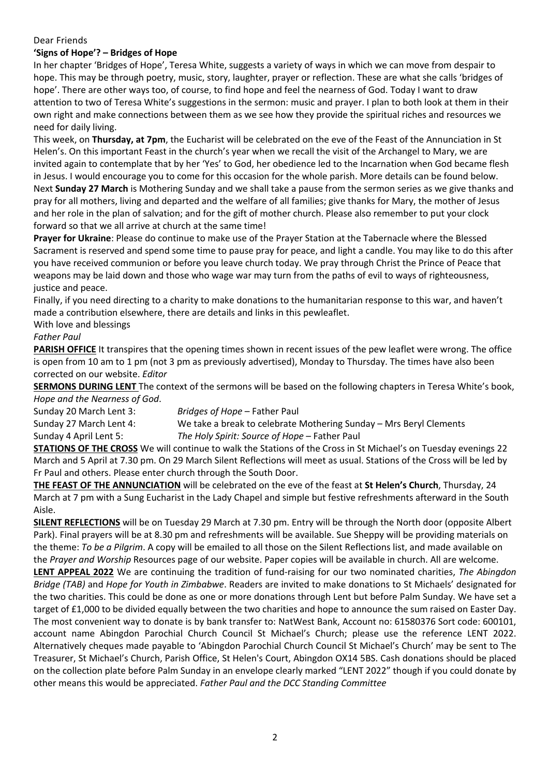#### Dear Friends

### **'Signs of Hope'? – Bridges of Hope**

In her chapter 'Bridges of Hope', Teresa White, suggests a variety of ways in which we can move from despair to hope. This may be through poetry, music, story, laughter, prayer or reflection. These are what she calls 'bridges of hope'. There are other ways too, of course, to find hope and feel the nearness of God. Today I want to draw attention to two of Teresa White's suggestions in the sermon: music and prayer. I plan to both look at them in their own right and make connections between them as we see how they provide the spiritual riches and resources we need for daily living.

This week, on **Thursday, at 7pm**, the Eucharist will be celebrated on the eve of the Feast of the Annunciation in St Helen's. On this important Feast in the church's year when we recall the visit of the Archangel to Mary, we are invited again to contemplate that by her 'Yes' to God, her obedience led to the Incarnation when God became flesh in Jesus. I would encourage you to come for this occasion for the whole parish. More details can be found below. Next **Sunday 27 March** is Mothering Sunday and we shall take a pause from the sermon series as we give thanks and pray for all mothers, living and departed and the welfare of all families; give thanks for Mary, the mother of Jesus and her role in the plan of salvation; and for the gift of mother church. Please also remember to put your clock forward so that we all arrive at church at the same time!

**Prayer for Ukraine**: Please do continue to make use of the Prayer Station at the Tabernacle where the Blessed Sacrament is reserved and spend some time to pause pray for peace, and light a candle. You may like to do this after you have received communion or before you leave church today. We pray through Christ the Prince of Peace that weapons may be laid down and those who wage war may turn from the paths of evil to ways of righteousness, justice and peace.

Finally, if you need directing to a charity to make donations to the humanitarian response to this war, and haven't made a contribution elsewhere, there are details and links in this pewleaflet.

With love and blessings

## *Father Paul*

**PARISH OFFICE** It transpires that the opening times shown in recent issues of the pew leaflet were wrong. The office is open from 10 am to 1 pm (not 3 pm as previously advertised), Monday to Thursday. The times have also been corrected on our website. *Editor*

**SERMONS DURING LENT** The context of the sermons will be based on the following chapters in Teresa White's book, *Hope and the Nearness of God*.

Sunday 20 March Lent 3: *Bridges of Hope* – Father Paul Sunday 27 March Lent 4: We take a break to celebrate Mothering Sunday – Mrs Beryl Clements Sunday 4 April Lent 5: *The Holy Spirit: Source of Hope* – Father Paul

**STATIONS OF THE CROSS** We will continue to walk the Stations of the Cross in St Michael's on Tuesday evenings 22 March and 5 April at 7.30 pm. On 29 March Silent Reflections will meet as usual. Stations of the Cross will be led by Fr Paul and others. Please enter church through the South Door.

**THE FEAST OF THE ANNUNCIATION** will be celebrated on the eve of the feast at **St Helen's Church**, Thursday, 24 March at 7 pm with a Sung Eucharist in the Lady Chapel and simple but festive refreshments afterward in the South Aisle.

**SILENT REFLECTIONS** will be on Tuesday 29 March at 7.30 pm. Entry will be through the North door (opposite Albert Park). Final prayers will be at 8.30 pm and refreshments will be available. Sue Sheppy will be providing materials on the theme: *To be a Pilgrim*. A copy will be emailed to all those on the Silent Reflections list, and made available on the *Prayer and Worship* Resources page of our website. Paper copies will be available in church. All are welcome. **LENT APPEAL 2022** We are continuing the tradition of fund-raising for our two nominated charities, *The Abingdon* 

*Bridge (TAB)* and *Hope for Youth in Zimbabwe*. Readers are invited to make donations to St Michaels' designated for the two charities. This could be done as one or more donations through Lent but before Palm Sunday. We have set a target of £1,000 to be divided equally between the two charities and hope to announce the sum raised on Easter Day. The most convenient way to donate is by bank transfer to: NatWest Bank, Account no: 61580376 Sort code: 600101, account name Abingdon Parochial Church Council St Michael's Church; please use the reference LENT 2022. Alternatively cheques made payable to 'Abingdon Parochial Church Council St Michael's Church' may be sent to The Treasurer, St Michael's Church, Parish Office, St Helen's Court, Abingdon OX14 5BS. Cash donations should be placed on the collection plate before Palm Sunday in an envelope clearly marked "LENT 2022" though if you could donate by other means this would be appreciated. *Father Paul and the DCC Standing Committee*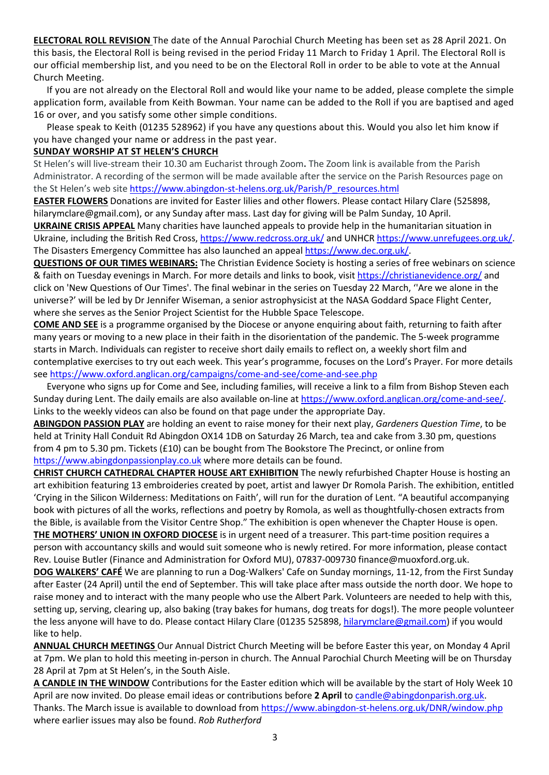**ELECTORAL ROLL REVISION** The date of the Annual Parochial Church Meeting has been set as 28 April 2021. On this basis, the Electoral Roll is being revised in the period Friday 11 March to Friday 1 April. The Electoral Roll is our official membership list, and you need to be on the Electoral Roll in order to be able to vote at the Annual Church Meeting.

If you are not already on the Electoral Roll and would like your name to be added, please complete the simple application form, available from Keith Bowman. Your name can be added to the Roll if you are baptised and aged 16 or over, and you satisfy some other simple conditions.

Please speak to Keith (01235 528962) if you have any questions about this. Would you also let him know if you have changed your name or address in the past year.

#### **SUNDAY WORSHIP AT ST HELEN'S CHURCH**

St Helen's will live-stream their 10.30 am Eucharist through Zoom**.** The Zoom link is available from the Parish Administrator. A recording of the sermon will be made available after the service on the Parish Resources page on the St Helen's web site https://www.abingdon-st-helens.org.uk/Parish/P\_resources.html

**EASTER FLOWERS** Donations are invited for Easter lilies and other flowers. Please contact Hilary Clare (525898, hilarymclare@gmail.com), or any Sunday after mass. Last day for giving will be Palm Sunday, 10 April.

**UKRAINE CRISIS APPEAL** Many charities have launched appeals to provide help in the humanitarian situation in Ukraine, including the British Red Cross, https://www.redcross.org.uk/ and UNHCR https://www.unrefugees.org.uk/. The Disasters Emergency Committee has also launched an appeal https://www.dec.org.uk/.

**QUESTIONS OF OUR TIMES WEBINARS:** The Christian Evidence Society is hosting a series of free webinars on science & faith on Tuesday evenings in March. For more details and links to book, visit https://christianevidence.org/ and click on 'New Questions of Our Times'. The final webinar in the series on Tuesday 22 March, ''Are we alone in the universe?' will be led by Dr Jennifer Wiseman, a senior astrophysicist at the NASA Goddard Space Flight Center, where she serves as the Senior Project Scientist for the Hubble Space Telescope.

**COME AND SEE** is a programme organised by the Diocese or anyone enquiring about faith, returning to faith after many years or moving to a new place in their faith in the disorientation of the pandemic. The 5-week programme starts in March. Individuals can register to receive short daily emails to reflect on, a weekly short film and contemplative exercises to try out each week. This year's programme, focuses on the Lord's Prayer. For more details see https://www.oxford.anglican.org/campaigns/come-and-see/come-and-see.php

Everyone who signs up for Come and See, including families, will receive a link to a film from Bishop Steven each Sunday during Lent. The daily emails are also available on-line at https://www.oxford.anglican.org/come-and-see/. Links to the weekly videos can also be found on that page under the appropriate Day.

**ABINGDON PASSION PLAY** are holding an event to raise money for their next play, *Gardeners Question Time*, to be held at Trinity Hall Conduit Rd Abingdon OX14 1DB on Saturday 26 March, tea and cake from 3.30 pm, questions from 4 pm to 5.30 pm. Tickets (£10) can be bought from The Bookstore The Precinct, or online from https://www.abingdonpassionplay.co.uk where more details can be found.

**CHRIST CHURCH CATHEDRAL CHAPTER HOUSE ART EXHIBITION** The newly refurbished Chapter House is hosting an art exhibition featuring 13 embroideries created by poet, artist and lawyer Dr Romola Parish. The exhibition, entitled 'Crying in the Silicon Wilderness: Meditations on Faith', will run for the duration of Lent. "A beautiful accompanying book with pictures of all the works, reflections and poetry by Romola, as well as thoughtfully-chosen extracts from the Bible, is available from the Visitor Centre Shop." The exhibition is open whenever the Chapter House is open. **THE MOTHERS' UNION IN OXFORD DIOCESE** is in urgent need of a treasurer. This part-time position requires a person with accountancy skills and would suit someone who is newly retired. For more information, please contact Rev. Louise Butler (Finance and Administration for Oxford MU), 07837-009730 finance@muoxford.org.uk.

**DOG WALKERS' CAFÉ** We are planning to run a Dog-Walkers' Cafe on Sunday mornings, 11-12, from the First Sunday after Easter (24 April) until the end of September. This will take place after mass outside the north door. We hope to raise money and to interact with the many people who use the Albert Park. Volunteers are needed to help with this, setting up, serving, clearing up, also baking (tray bakes for humans, dog treats for dogs!). The more people volunteer the less anyone will have to do. Please contact Hilary Clare (01235 525898, hilarymclare@gmail.com) if you would like to help.

**ANNUAL CHURCH MEETINGS** Our Annual District Church Meeting will be before Easter this year, on Monday 4 April at 7pm. We plan to hold this meeting in-person in church. The Annual Parochial Church Meeting will be on Thursday 28 April at 7pm at St Helen's, in the South Aisle.

**A CANDLE IN THE WINDOW** Contributions for the Easter edition which will be available by the start of Holy Week 10 April are now invited. Do please email ideas or contributions before 2 April to candle@abingdonparish.org.uk. Thanks. The March issue is available to download from https://www.abingdon-st-helens.org.uk/DNR/window.php where earlier issues may also be found. *Rob Rutherford*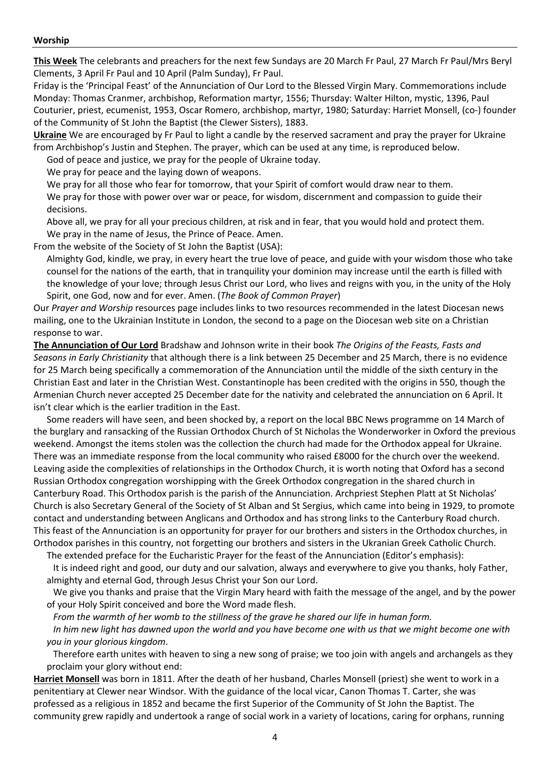#### **Worship**

**This Week** The celebrants and preachers for the next few Sundays are 20 March Fr Paul, 27 March Fr Paul/Mrs Beryl Clements, 3 April Fr Paul and 10 April (Palm Sunday), Fr Paul.

Friday is the 'Principal Feast' of the Annunciation of Our Lord to the Blessed Virgin Mary. Commemorations include Monday: Thomas Cranmer, archbishop, Reformation martyr, 1556; Thursday: Walter Hilton, mystic, 1396, Paul Couturier, priest, ecumenist, 1953, Oscar Romero, archbishop, martyr, 1980; Saturday: Harriet Monsell, (co-) founder of the Community of St John the Baptist (the Clewer Sisters), 1883.

**Ukraine** We are encouraged by Fr Paul to light a candle by the reserved sacrament and pray the prayer for Ukraine from Archbishop's Justin and Stephen. The prayer, which can be used at any time, is reproduced below.

God of peace and justice, we pray for the people of Ukraine today.

We pray for peace and the laying down of weapons.

We pray for all those who fear for tomorrow, that your Spirit of comfort would draw near to them.

We pray for those with power over war or peace, for wisdom, discernment and compassion to guide their decisions.

Above all, we pray for all your precious children, at risk and in fear, that you would hold and protect them. We pray in the name of Jesus, the Prince of Peace. Amen.

From the website of the Society of St John the Baptist (USA):

Almighty God, kindle, we pray, in every heart the true love of peace, and guide with your wisdom those who take counsel for the nations of the earth, that in tranquility your dominion may increase until the earth is filled with the knowledge of your love; through Jesus Christ our Lord, who lives and reigns with you, in the unity of the Holy Spirit, one God, now and for ever. Amen. (*The Book of Common Prayer*)

Our *Prayer and Worship* resources page includes links to two resources recommended in the latest Diocesan news mailing, one to the Ukrainian Institute in London, the second to a page on the Diocesan web site on a Christian response to war.

**The Annunciation of Our Lord** Bradshaw and Johnson write in their book *The Origins of the Feasts, Fasts and Seasons in Early Christianity* that although there is a link between 25 December and 25 March, there is no evidence for 25 March being specifically a commemoration of the Annunciation until the middle of the sixth century in the Christian East and later in the Christian West. Constantinople has been credited with the origins in 550, though the Armenian Church never accepted 25 December date for the nativity and celebrated the annunciation on 6 April. It isn't clear which is the earlier tradition in the East.

Some readers will have seen, and been shocked by, a report on the local BBC News programme on 14 March of the burglary and ransacking of the Russian Orthodox Church of St Nicholas the Wonderworker in Oxford the previous weekend. Amongst the items stolen was the collection the church had made for the Orthodox appeal for Ukraine. There was an immediate response from the local community who raised £8000 for the church over the weekend. Leaving aside the complexities of relationships in the Orthodox Church, it is worth noting that Oxford has a second Russian Orthodox congregation worshipping with the Greek Orthodox congregation in the shared church in Canterbury Road. This Orthodox parish is the parish of the Annunciation. Archpriest Stephen Platt at St Nicholas' Church is also Secretary General of the Society of St Alban and St Sergius, which came into being in 1929, to promote contact and understanding between Anglicans and Orthodox and has strong links to the Canterbury Road church. This feast of the Annunciation is an opportunity for prayer for our brothers and sisters in the Orthodox churches, in Orthodox parishes in this country, not forgetting our brothers and sisters in the Ukranian Greek Catholic Church.

The extended preface for the Eucharistic Prayer for the feast of the Annunciation (Editor's emphasis):

It is indeed right and good, our duty and our salvation, always and everywhere to give you thanks, holy Father, almighty and eternal God, through Jesus Christ your Son our Lord.

We give you thanks and praise that the Virgin Mary heard with faith the message of the angel, and by the power of your Holy Spirit conceived and bore the Word made flesh.

*From the warmth of her womb to the stillness of the grave he shared our life in human form.*

*In him new light has dawned upon the world and you have become one with us that we might become one with you in your glorious kingdom*.

Therefore earth unites with heaven to sing a new song of praise; we too join with angels and archangels as they proclaim your glory without end:

**Harriet Monsell** was born in 1811. After the death of her husband, Charles Monsell (priest) she went to work in a penitentiary at Clewer near Windsor. With the guidance of the local vicar, Canon Thomas T. Carter, she was professed as a religious in 1852 and became the first Superior of the Community of St John the Baptist. The community grew rapidly and undertook a range of social work in a variety of locations, caring for orphans, running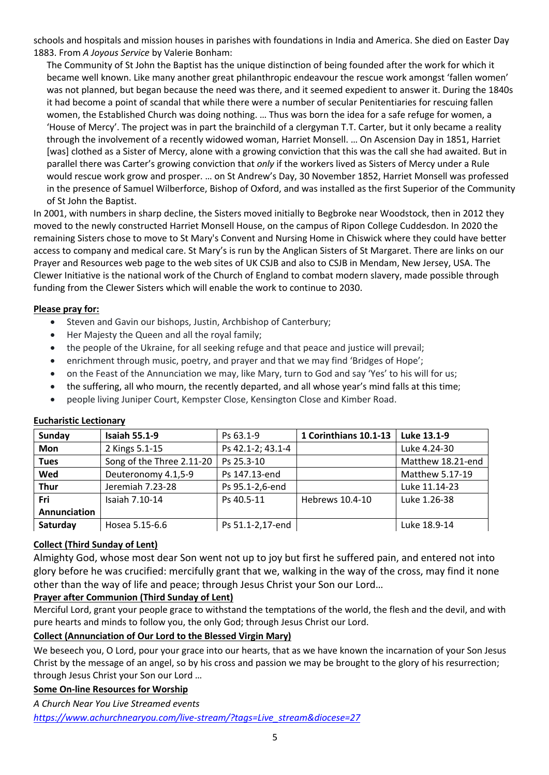schools and hospitals and mission houses in parishes with foundations in India and America. She died on Easter Day 1883. From *A Joyous Service* by Valerie Bonham:

The Community of St John the Baptist has the unique distinction of being founded after the work for which it became well known. Like many another great philanthropic endeavour the rescue work amongst 'fallen women' was not planned, but began because the need was there, and it seemed expedient to answer it. During the 1840s it had become a point of scandal that while there were a number of secular Penitentiaries for rescuing fallen women, the Established Church was doing nothing. … Thus was born the idea for a safe refuge for women, a 'House of Mercy'. The project was in part the brainchild of a clergyman T.T. Carter, but it only became a reality through the involvement of a recently widowed woman, Harriet Monsell. … On Ascension Day in 1851, Harriet [was] clothed as a Sister of Mercy, alone with a growing conviction that this was the call she had awaited. But in parallel there was Carter's growing conviction that *only* if the workers lived as Sisters of Mercy under a Rule would rescue work grow and prosper. … on St Andrew's Day, 30 November 1852, Harriet Monsell was professed in the presence of Samuel Wilberforce, Bishop of Oxford, and was installed as the first Superior of the Community of St John the Baptist.

In 2001, with numbers in sharp decline, the Sisters moved initially to Begbroke near Woodstock, then in 2012 they moved to the newly constructed Harriet Monsell House, on the campus of Ripon College Cuddesdon. In 2020 the remaining Sisters chose to move to St Mary's Convent and Nursing Home in Chiswick where they could have better access to company and medical care. St Mary's is run by the Anglican Sisters of St Margaret. There are links on our Prayer and Resources web page to the web sites of UK CSJB and also to CSJB in Mendam, New Jersey, USA. The Clewer Initiative is the national work of the Church of England to combat modern slavery, made possible through funding from the Clewer Sisters which will enable the work to continue to 2030.

#### **Please pray for:**

- Steven and Gavin our bishops, Justin, Archbishop of Canterbury;
- Her Majesty the Queen and all the royal family;
- the people of the Ukraine, for all seeking refuge and that peace and justice will prevail;
- enrichment through music, poetry, and prayer and that we may find 'Bridges of Hope';
- on the Feast of the Annunciation we may, like Mary, turn to God and say 'Yes' to his will for us;
- the suffering, all who mourn, the recently departed, and all whose year's mind falls at this time;
- people living Juniper Court, Kempster Close, Kensington Close and Kimber Road.

| <b>Sunday</b> | <b>Isaiah 55.1-9</b>      | Ps 63.1-9         | 1 Corinthians 10.1-13 | Luke 13.1-9       |
|---------------|---------------------------|-------------------|-----------------------|-------------------|
| <b>Mon</b>    | 2 Kings 5.1-15            | Ps 42.1-2; 43.1-4 |                       | Luke 4.24-30      |
| <b>Tues</b>   | Song of the Three 2.11-20 | Ps 25.3-10        |                       | Matthew 18.21-end |
| Wed           | Deuteronomy 4.1,5-9       | Ps 147.13-end     |                       | Matthew 5.17-19   |
| <b>Thur</b>   | Jeremiah 7.23-28          | Ps 95.1-2,6-end   |                       | Luke 11.14-23     |
| Fri           | Isaiah 7.10-14            | Ps 40.5-11        | Hebrews 10.4-10       | Luke 1.26-38      |
| Annunciation  |                           |                   |                       |                   |
| Saturday      | Hosea 5.15-6.6            | Ps 51.1-2,17-end  |                       | Luke 18.9-14      |

#### **Eucharistic Lectionary**

#### **Collect (Third Sunday of Lent)**

Almighty God, whose most dear Son went not up to joy but first he suffered pain, and entered not into glory before he was crucified: mercifully grant that we, walking in the way of the cross, may find it none other than the way of life and peace; through Jesus Christ your Son our Lord…

#### **Prayer after Communion (Third Sunday of Lent)**

Merciful Lord, grant your people grace to withstand the temptations of the world, the flesh and the devil, and with pure hearts and minds to follow you, the only God; through Jesus Christ our Lord.

# **Collect (Annunciation of Our Lord to the Blessed Virgin Mary)**

We beseech you, O Lord, pour your grace into our hearts, that as we have known the incarnation of your Son Jesus Christ by the message of an angel, so by his cross and passion we may be brought to the glory of his resurrection; through Jesus Christ your Son our Lord …

#### **Some On-line Resources for Worship**

*A Church Near You Live Streamed events https://www.achurchnearyou.com/live-stream/?tags=Live\_stream&diocese=27*